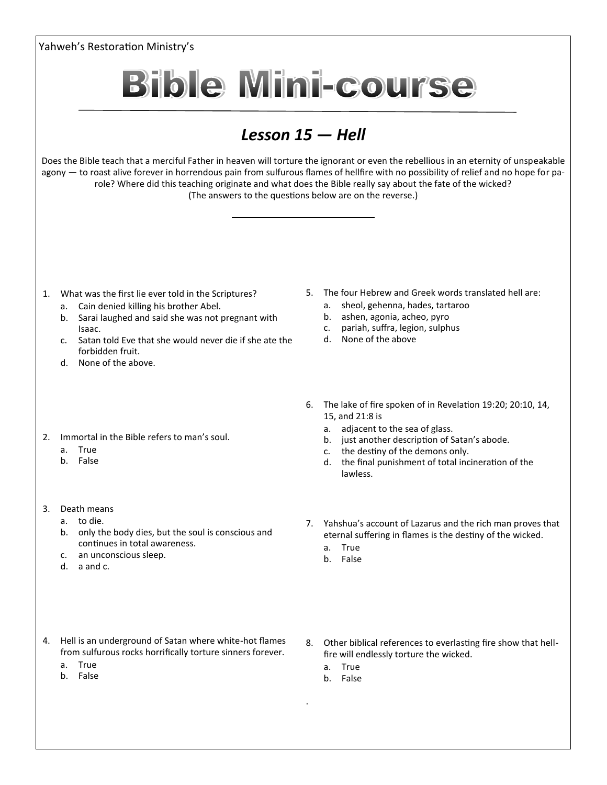Yahweh's Restoration Ministry's **Bible Mini-course** *Lesson 15 — Hell* Does the Bible teach that a merciful Father in heaven will torture the ignorant or even the rebellious in an eternity of unspeakable agony — to roast alive forever in horrendous pain from sulfurous flames of hellfire with no possibility of relief and no hope for parole? Where did this teaching originate and what does the Bible really say about the fate of the wicked? (The answers to the questions below are on the reverse.) 5. The four Hebrew and Greek words translated hell are: 1. What was the first lie ever told in the Scriptures? a. sheol, gehenna, hades, tartaroo a. Cain denied killing his brother Abel. b. ashen, agonia, acheo, pyro b. Sarai laughed and said she was not pregnant with c. pariah, suffra, legion, sulphus Isaac. d. None of the above c. Satan told Eve that she would never die if she ate the forbidden fruit. d. None of the above. 6. The lake of fire spoken of in Revelation 19:20; 20:10, 14, 15, and 21:8 is a. adjacent to the sea of glass. 2. Immortal in the Bible refers to man's soul. b. just another description of Satan's abode. a. True c. the destiny of the demons only. b. False d. the final punishment of total incineration of the lawless. 3. Death means a. to die. 7. Yahshua's account of Lazarus and the rich man proves that b. only the body dies, but the soul is conscious and eternal suffering in flames is the destiny of the wicked. continues in total awareness. a. True c. an unconscious sleep. b. False d. a and c. 4. Hell is an underground of Satan where white-hot flames 8. Other biblical references to everlasting fire show that hellfrom sulfurous rocks horrifically torture sinners forever. fire will endlessly torture the wicked. a. True a. True b. False b. False .